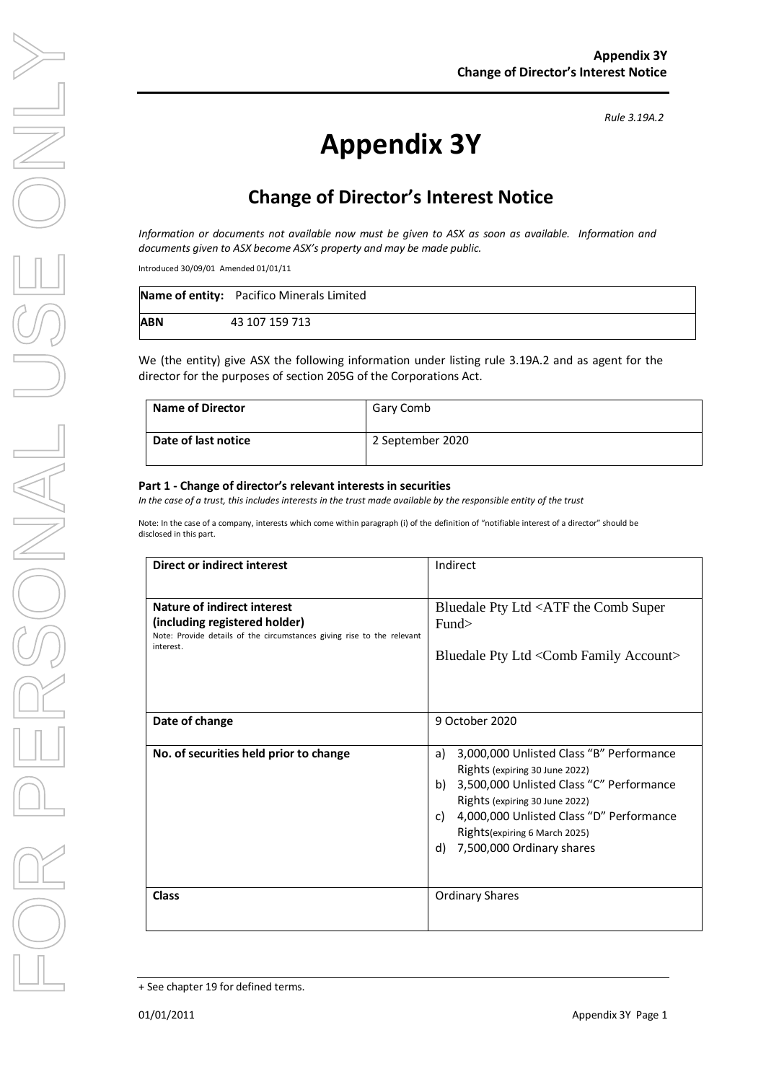# **Appendix 3Y**

## **Change of Director's Interest Notice**

*Information or documents not available now must be given to ASX as soon as available. Information and documents given to ASX become ASX's property and may be made public.*

Introduced 30/09/01 Amended 01/01/11

|            | Name of entity: Pacifico Minerals Limited |
|------------|-------------------------------------------|
| <b>ABN</b> | 43 107 159 713                            |

We (the entity) give ASX the following information under listing rule 3.19A.2 and as agent for the director for the purposes of section 205G of the Corporations Act.

| <b>Name of Director</b> | Gary Comb        |
|-------------------------|------------------|
| Date of last notice     | 2 September 2020 |

#### **Part 1 - Change of director's relevant interests in securities**

*In the case of a trust, this includes interests in the trust made available by the responsible entity of the trust*

Note: In the case of a company, interests which come within paragraph (i) of the definition of "notifiable interest of a director" should be disclosed in this part.

| Direct or indirect interest                                                                                          | Indirect                                                                         |  |
|----------------------------------------------------------------------------------------------------------------------|----------------------------------------------------------------------------------|--|
|                                                                                                                      |                                                                                  |  |
| Nature of indirect interest                                                                                          | Bluedale Pty Ltd <atf comb="" super<="" th="" the=""></atf>                      |  |
| (including registered holder)<br>Note: Provide details of the circumstances giving rise to the relevant<br>interest. | Fund>                                                                            |  |
|                                                                                                                      | Bluedale Pty Ltd <comb account="" family=""></comb>                              |  |
|                                                                                                                      |                                                                                  |  |
| Date of change                                                                                                       | 9 October 2020                                                                   |  |
| No. of securities held prior to change                                                                               | 3,000,000 Unlisted Class "B" Performance<br>a)<br>Rights (expiring 30 June 2022) |  |
|                                                                                                                      | 3,500,000 Unlisted Class "C" Performance<br>b)<br>Rights (expiring 30 June 2022) |  |
|                                                                                                                      | 4,000,000 Unlisted Class "D" Performance<br>C)                                   |  |
|                                                                                                                      | Rights (expiring 6 March 2025)                                                   |  |
|                                                                                                                      | 7,500,000 Ordinary shares<br>d)                                                  |  |
|                                                                                                                      |                                                                                  |  |
| <b>Class</b>                                                                                                         | <b>Ordinary Shares</b>                                                           |  |
|                                                                                                                      |                                                                                  |  |

+ See chapter 19 for defined terms.

*Rule 3.19A.2*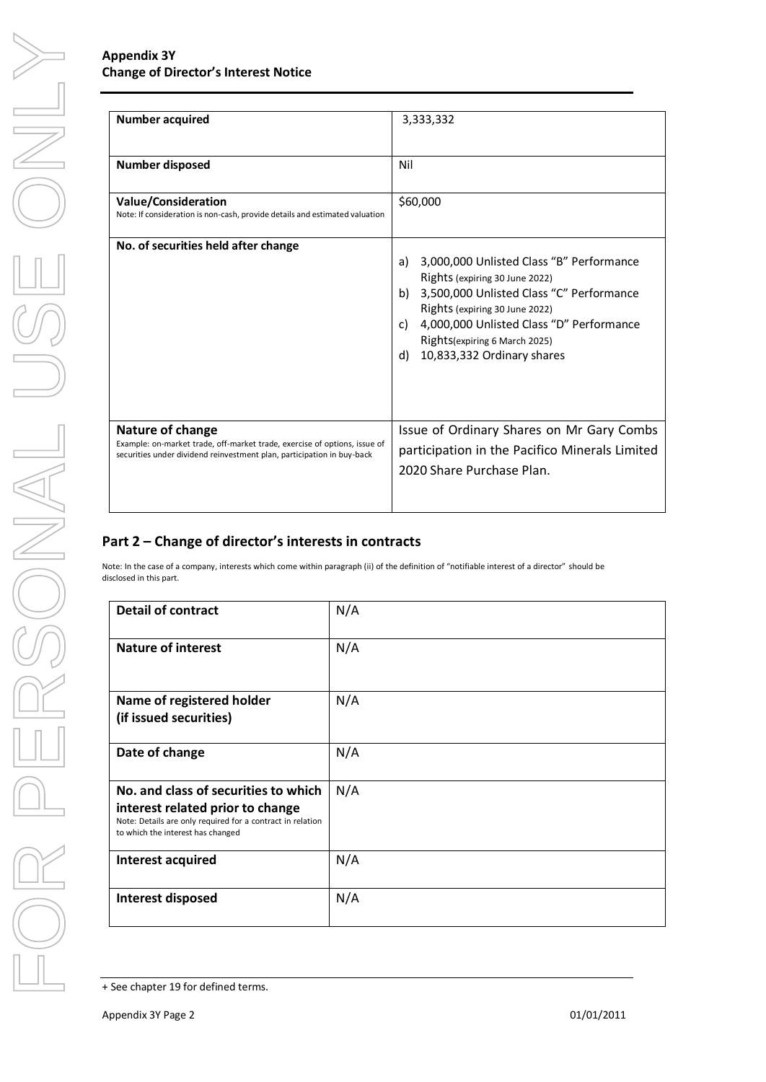#### **Appendix 3Y Change of Director's Interest Notice**

| Number acquired                                                                                                                                                         | 3,333,332                                                                                                                                                                                                                                                                                    |  |
|-------------------------------------------------------------------------------------------------------------------------------------------------------------------------|----------------------------------------------------------------------------------------------------------------------------------------------------------------------------------------------------------------------------------------------------------------------------------------------|--|
| Number disposed                                                                                                                                                         | Nil                                                                                                                                                                                                                                                                                          |  |
| <b>Value/Consideration</b><br>Note: If consideration is non-cash, provide details and estimated valuation                                                               | \$60,000                                                                                                                                                                                                                                                                                     |  |
| No. of securities held after change                                                                                                                                     | 3,000,000 Unlisted Class "B" Performance<br>a)<br>Rights (expiring 30 June 2022)<br>3,500,000 Unlisted Class "C" Performance<br>b)<br>Rights (expiring 30 June 2022)<br>4,000,000 Unlisted Class "D" Performance<br>C)<br>Rights (expiring 6 March 2025)<br>10,833,332 Ordinary shares<br>d) |  |
| Nature of change<br>Example: on-market trade, off-market trade, exercise of options, issue of<br>securities under dividend reinvestment plan, participation in buy-back | Issue of Ordinary Shares on Mr Gary Combs<br>participation in the Pacifico Minerals Limited<br>2020 Share Purchase Plan.                                                                                                                                                                     |  |

#### **Part 2 – Change of director's interests in contracts**

Note: In the case of a company, interests which come within paragraph (ii) of the definition of "notifiable interest of a director" should be disclosed in this part.

| <b>Detail of contract</b>                                                                                                                                                   | N/A |  |
|-----------------------------------------------------------------------------------------------------------------------------------------------------------------------------|-----|--|
| <b>Nature of interest</b>                                                                                                                                                   | N/A |  |
| Name of registered holder<br>(if issued securities)                                                                                                                         | N/A |  |
| Date of change                                                                                                                                                              | N/A |  |
| No. and class of securities to which<br>interest related prior to change<br>Note: Details are only required for a contract in relation<br>to which the interest has changed | N/A |  |
| Interest acquired                                                                                                                                                           | N/A |  |
| Interest disposed                                                                                                                                                           | N/A |  |

<sup>+</sup> See chapter 19 for defined terms.